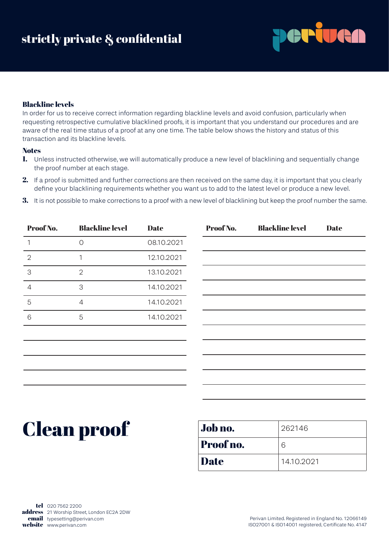

# Blackline levels

In order for us to receive correct information regarding blackline levels and avoid confusion, particularly when requesting retrospective cumulative blacklined proofs, it is important that you understand our procedures and are aware of the real time status of a proof at any one time. The table below shows the history and status of this transaction and its blackline levels.

# **Notes**

- 1. Unless instructed otherwise, we will automatically produce a new level of blacklining and sequentially change the proof number at each stage.
- 2. If a proof is submitted and further corrections are then received on the same day, it is important that you clearly define your blacklining requirements whether you want us to add to the latest level or produce a new level.
- 3. It is not possible to make corrections to a proof with a new level of blacklining but keep the proof number the same.

| Proof No.     | <b>Blackline level</b> | <b>Date</b> | Proof No. | <b>Blackline level</b> | <b>Date</b> |
|---------------|------------------------|-------------|-----------|------------------------|-------------|
|               | 0                      | 08.10.2021  |           |                        |             |
| $\mathcal{D}$ |                        | 12.10.2021  |           |                        |             |
| 3             | $\overline{2}$         | 13.10.2021  |           |                        |             |
| 4             | 3                      | 14.10.2021  |           |                        |             |
| 5             | $\overline{4}$         | 14.10.2021  |           |                        |             |
| 6             | 5                      | 14.10.2021  |           |                        |             |
|               |                        |             |           |                        |             |

# Clean proof

| Job no.     | 262146     |
|-------------|------------|
| Proof no.   | 6          |
| <b>Date</b> | 14.10.2021 |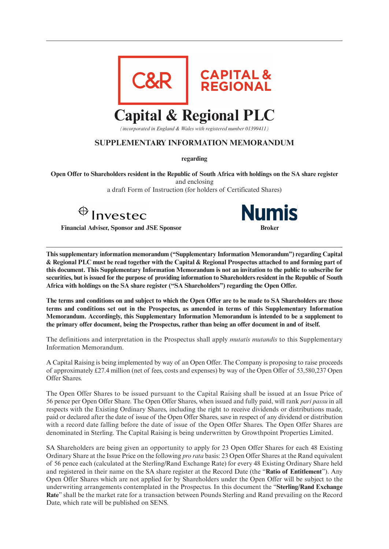

*(incorporated in England & Wales with registered number 01399411)*

# **SUPPLEMENTARY INFORMATION MEMORANDUM**

**regarding**

**Open Offer to Shareholders resident in the Republic of South Africa with holdings on the SA share register** and enclosing

a draft Form of Instruction (for holders of Certificated Shares)

Invested

**Financial Adviser, Sponsor and JSE Sponsor** 



**This supplementary information memorandum ("Supplementary Information Memorandum") regarding Capital & Regional PLC must be read together with the Capital & Regional Prospectus attached to and forming part of this document. This Supplementary Information Memorandum is not an invitation to the public to subscribe for securities, but is issued for the purpose of providing information to Shareholders resident in the Republic of South Africa with holdings on the SA share register ("SA Shareholders") regarding the Open Offer.**

**The terms and conditions on and subject to which the Open Offer are to be made to SA Shareholders are those terms and conditions set out in the Prospectus, as amended in terms of this Supplementary Information Memorandum. Accordingly, this Supplementary Information Memorandum is intended to be a supplement to the primary offer document, being the Prospectus, rather than being an offer document in and of itself.**

The definitions and interpretation in the Prospectus shall apply *mutatis mutandis* to this Supplementary Information Memorandum.

A Capital Raising is being implemented by way of an Open Offer. The Company is proposing to raise proceeds of approximately £27.4 million (net of fees, costs and expenses) by way of the Open Offer of 53,580,237 Open Offer Shares.

The Open Offer Shares to be issued pursuant to the Capital Raising shall be issued at an Issue Price of 56 pence per Open Offer Share. The Open Offer Shares, when issued and fully paid, will rank *pari passu* in all respects with the Existing Ordinary Shares, including the right to receive dividends or distributions made, paid or declared after the date of issue of the Open Offer Shares, save in respect of any dividend or distribution with a record date falling before the date of issue of the Open Offer Shares. The Open Offer Shares are denominated in Sterling. The Capital Raising is being underwritten by Growthpoint Properties Limited.

SA Shareholders are being given an opportunity to apply for 23 Open Offer Shares for each 48 Existing Ordinary Share at the Issue Price on the following *pro rata* basis: 23 Open Offer Shares at the Rand equivalent of 56 pence each (calculated at the Sterling/Rand Exchange Rate) for every 48 Existing Ordinary Share held and registered in their name on the SA share register at the Record Date (the "**Ratio of Entitlement**"). Any Open Offer Shares which are not applied for by Shareholders under the Open Offer will be subject to the underwriting arrangements contemplated in the Prospectus. In this document the "**Sterling**/**Rand Exchange Rate**" shall be the market rate for a transaction between Pounds Sterling and Rand prevailing on the Record Date, which rate will be published on SENS.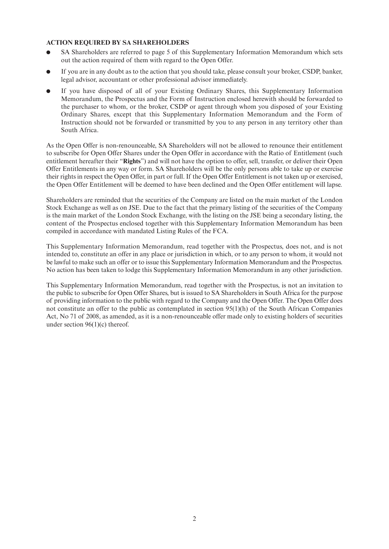### **ACTION REQUIRED BY SA SHAREHOLDERS**

- SA Shareholders are referred to page 5 of this Supplementary Information Memorandum which sets out the action required of them with regard to the Open Offer.
- If you are in any doubt as to the action that you should take, please consult your broker, CSDP, banker, legal advisor, accountant or other professional advisor immediately.
- If you have disposed of all of your Existing Ordinary Shares, this Supplementary Information Memorandum, the Prospectus and the Form of Instruction enclosed herewith should be forwarded to the purchaser to whom, or the broker, CSDP or agent through whom you disposed of your Existing Ordinary Shares, except that this Supplementary Information Memorandum and the Form of Instruction should not be forwarded or transmitted by you to any person in any territory other than South Africa.

As the Open Offer is non-renounceable, SA Shareholders will not be allowed to renounce their entitlement to subscribe for Open Offer Shares under the Open Offer in accordance with the Ratio of Entitlement (such entitlement hereafter their "**Rights**") and will not have the option to offer, sell, transfer, or deliver their Open Offer Entitlements in any way or form. SA Shareholders will be the only persons able to take up or exercise their rights in respect the Open Offer, in part or full. If the Open Offer Entitlement is not taken up or exercised, the Open Offer Entitlement will be deemed to have been declined and the Open Offer entitlement will lapse.

Shareholders are reminded that the securities of the Company are listed on the main market of the London Stock Exchange as well as on JSE. Due to the fact that the primary listing of the securities of the Company is the main market of the London Stock Exchange, with the listing on the JSE being a secondary listing, the content of the Prospectus enclosed together with this Supplementary Information Memorandum has been compiled in accordance with mandated Listing Rules of the FCA.

This Supplementary Information Memorandum, read together with the Prospectus, does not, and is not intended to, constitute an offer in any place or jurisdiction in which, or to any person to whom, it would not be lawful to make such an offer or to issue this Supplementary Information Memorandum and the Prospectus. No action has been taken to lodge this Supplementary Information Memorandum in any other jurisdiction.

This Supplementary Information Memorandum, read together with the Prospectus, is not an invitation to the public to subscribe for Open Offer Shares, but is issued to SA Shareholders in South Africa for the purpose of providing information to the public with regard to the Company and the Open Offer. The Open Offer does not constitute an offer to the public as contemplated in section 95(1)(h) of the South African Companies Act, No 71 of 2008, as amended, as it is a non-renounceable offer made only to existing holders of securities under section 96(1)(c) thereof.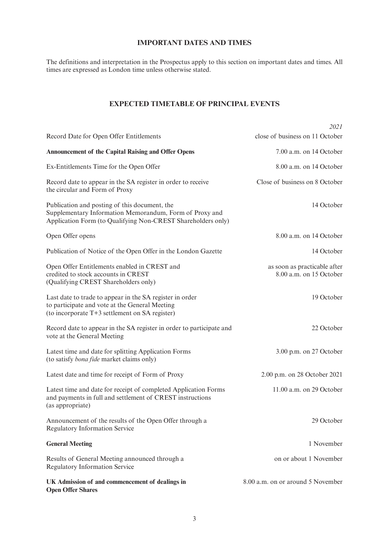# **IMPORTANT DATES AND TIMES**

The definitions and interpretation in the Prospectus apply to this section on important dates and times. All times are expressed as London time unless otherwise stated.

# **EXPECTED TIMETABLE OF PRINCIPAL EVENTS**

|                                                                                                                                                                          | 2021                                                    |
|--------------------------------------------------------------------------------------------------------------------------------------------------------------------------|---------------------------------------------------------|
| Record Date for Open Offer Entitlements                                                                                                                                  | close of business on 11 October                         |
| <b>Announcement of the Capital Raising and Offer Opens</b>                                                                                                               | 7.00 a.m. on 14 October                                 |
| Ex-Entitlements Time for the Open Offer                                                                                                                                  | 8.00 a.m. on 14 October                                 |
| Record date to appear in the SA register in order to receive<br>the circular and Form of Proxy                                                                           | Close of business on 8 October                          |
| Publication and posting of this document, the<br>Supplementary Information Memorandum, Form of Proxy and<br>Application Form (to Qualifying Non-CREST Shareholders only) | 14 October                                              |
| Open Offer opens                                                                                                                                                         | 8.00 a.m. on 14 October                                 |
| Publication of Notice of the Open Offer in the London Gazette                                                                                                            | 14 October                                              |
| Open Offer Entitlements enabled in CREST and<br>credited to stock accounts in CREST<br>(Qualifying CREST Shareholders only)                                              | as soon as practicable after<br>8.00 a.m. on 15 October |
| Last date to trade to appear in the SA register in order<br>to participate and vote at the General Meeting<br>(to incorporate T+3 settlement on SA register)             | 19 October                                              |
| Record date to appear in the SA register in order to participate and<br>vote at the General Meeting                                                                      | 22 October                                              |
| Latest time and date for splitting Application Forms<br>(to satisfy <i>bona fide</i> market claims only)                                                                 | 3.00 p.m. on 27 October                                 |
| Latest date and time for receipt of Form of Proxy                                                                                                                        | 2.00 p.m. on 28 October 2021                            |
| Latest time and date for receipt of completed Application Forms<br>and payments in full and settlement of CREST instructions<br>(as appropriate)                         | 11.00 a.m. on 29 October                                |
| Announcement of the results of the Open Offer through a<br>Regulatory Information Service                                                                                | 29 October                                              |
| <b>General Meeting</b>                                                                                                                                                   | 1 November                                              |
| Results of General Meeting announced through a<br><b>Regulatory Information Service</b>                                                                                  | on or about 1 November                                  |
| UK Admission of and commencement of dealings in<br><b>Open Offer Shares</b>                                                                                              | 8.00 a.m. on or around 5 November                       |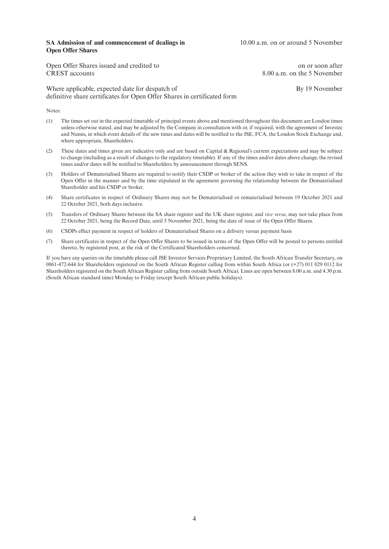#### **SA Admission of and commencement of dealings in** 10.00 a.m. on or around 5 November **Open Offer Shares**

Open Offer Shares issued and credited to on or soon after CREST accounts 8.00 a.m. on the 5 November

Where applicable, expected date for despatch of By 19 November definitive share certificates for Open Offer Shares in certificated form

Notes:

- (1) The times set out in the expected timetable of principal events above and mentioned throughout this document are London times unless otherwise stated, and may be adjusted by the Company in consultation with or, if required, with the agreement of Investec and Numis, in which event details of the new times and dates will be notified to the JSE, FCA, the London Stock Exchange and, where appropriate, Shareholders.
- (2) These dates and times given are indicative only and are based on Capital & Regional's current expectations and may be subject to change (including as a result of changes to the regulatory timetable). If any of the times and/or dates above change, the revised times and/or dates will be notified to Shareholders by announcement through SENS.
- (3) Holders of Dematerialised Shares are required to notify their CSDP or broker of the action they wish to take in respect of the Open Offer in the manner and by the time stipulated in the agreement governing the relationship between the Dematerialised Shareholder and his CSDP or broker.
- (4) Share certificates in respect of Ordinary Shares may not be Dematerialised or rematerialised between 19 October 2021 and 22 October 2021, both days inclusive.
- (5) Transfers of Ordinary Shares between the SA share register and the UK share register, and *vice versa*, may not take place from 22 October 2021, being the Record Date, until 5 November 2021, being the date of issue of the Open Offer Shares.
- (6) CSDPs effect payment in respect of holders of Dematerialised Shares on a delivery versus payment basis
- (7) Share certificates in respect of the Open Offer Shares to be issued in terms of the Open Offer will be posted to persons entitled thereto, by registered post, at the risk of the Certificated Shareholders concerned.

If you have any queries on the timetable please call JSE Investor Services Proprietary Limited, the South African Transfer Secretary, on 0861-472-644 for Shareholders registered on the South African Register calling from within South Africa (or (+27) 011 029 0112 for Shareholders registered on the South African Register calling from outside South Africa). Lines are open between 8.00 a.m. and 4.30 p.m. (South African standard time) Monday to Friday (except South African public holidays).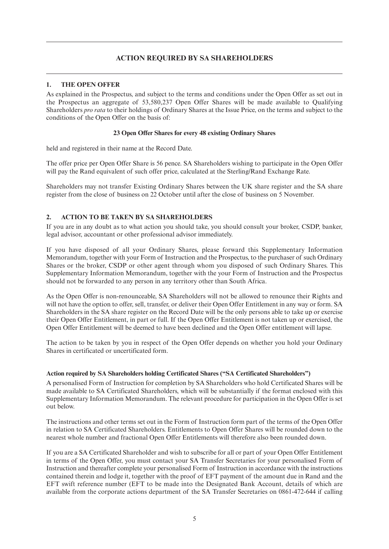# **ACTION REQUIRED BY SA SHAREHOLDERS**

# **1. THE OPEN OFFER**

As explained in the Prospectus, and subject to the terms and conditions under the Open Offer as set out in the Prospectus an aggregate of 53,580,237 Open Offer Shares will be made available to Qualifying Shareholders *pro rata* to their holdings of Ordinary Shares at the Issue Price, on the terms and subject to the conditions of the Open Offer on the basis of:

# **23 Open Offer Shares for every 48 existing Ordinary Shares**

held and registered in their name at the Record Date.

The offer price per Open Offer Share is 56 pence. SA Shareholders wishing to participate in the Open Offer will pay the Rand equivalent of such offer price, calculated at the Sterling/Rand Exchange Rate.

Shareholders may not transfer Existing Ordinary Shares between the UK share register and the SA share register from the close of business on 22 October until after the close of business on 5 November.

# **2. ACTION TO BE TAKEN BY SA SHAREHOLDERS**

If you are in any doubt as to what action you should take, you should consult your broker, CSDP, banker, legal advisor, accountant or other professional advisor immediately.

If you have disposed of all your Ordinary Shares, please forward this Supplementary Information Memorandum, together with your Form of Instruction and the Prospectus, to the purchaser of such Ordinary Shares or the broker, CSDP or other agent through whom you disposed of such Ordinary Shares. This Supplementary Information Memorandum, together with the your Form of Instruction and the Prospectus should not be forwarded to any person in any territory other than South Africa.

As the Open Offer is non-renounceable, SA Shareholders will not be allowed to renounce their Rights and will not have the option to offer, sell, transfer, or deliver their Open Offer Entitlement in any way or form. SA Shareholders in the SA share register on the Record Date will be the only persons able to take up or exercise their Open Offer Entitlement, in part or full. If the Open Offer Entitlement is not taken up or exercised, the Open Offer Entitlement will be deemed to have been declined and the Open Offer entitlement will lapse.

The action to be taken by you in respect of the Open Offer depends on whether you hold your Ordinary Shares in certificated or uncertificated form.

# **Action required by SA Shareholders holding Certificated Shares ("SA Certificated Shareholders")**

A personalised Form of Instruction for completion by SA Shareholders who hold Certificated Shares will be made available to SA Certificated Shareholders, which will be substantially if the format enclosed with this Supplementary Information Memorandum. The relevant procedure for participation in the Open Offer is set out below.

The instructions and other terms set out in the Form of Instruction form part of the terms of the Open Offer in relation to SA Certificated Shareholders. Entitlements to Open Offer Shares will be rounded down to the nearest whole number and fractional Open Offer Entitlements will therefore also been rounded down.

If you are a SA Certificated Shareholder and wish to subscribe for all or part of your Open Offer Entitlement in terms of the Open Offer, you must contact your SA Transfer Secretaries for your personalised Form of Instruction and thereafter complete your personalised Form of Instruction in accordance with the instructions contained therein and lodge it, together with the proof of EFT payment of the amount due in Rand and the EFT swift reference number (EFT to be made into the Designated Bank Account, details of which are available from the corporate actions department of the SA Transfer Secretaries on 0861-472-644 if calling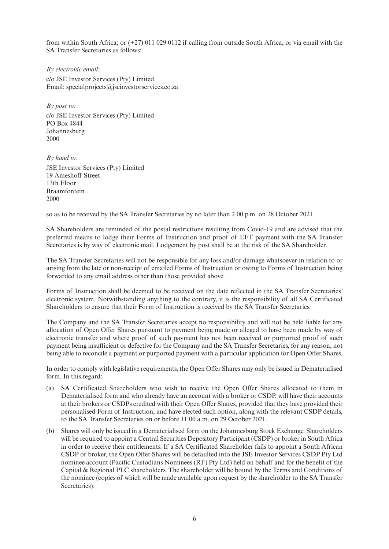from within South Africa; or (+27) 011 029 0112 if calling from outside South Africa; or via email with the SA Transfer Secretaries as follows:

*By electronic email:* c/o JSE Investor Services (Pty) Limited Email: specialprojects@jseinvestorservices.co.za

*By post to:* c/o JSE Investor Services (Pty) Limited PO Box 4844 Johannesburg 2000

*By hand to:*

JSE Investor Services (Pty) Limited 19 Ameshoff Street 13th Floor Braamfontein 2000

so as to be received by the SA Transfer Secretaries by no later than 2.00 p.m. on 28 October 2021

SA Shareholders are reminded of the postal restrictions resulting from Covid-19 and are advised that the preferred means to lodge their Forms of Instruction and proof of EFT payment with the SA Transfer Secretaries is by way of electronic mail. Lodgement by post shall be at the risk of the SA Shareholder.

The SA Transfer Secretaries will not be responsible for any loss and/or damage whatsoever in relation to or arising from the late or non-receipt of emailed Forms of Instruction or owing to Forms of Instruction being forwarded to any email address other than those provided above.

Forms of Instruction shall be deemed to be received on the date reflected in the SA Transfer Secretaries' electronic system. Notwithstanding anything to the contrary, it is the responsibility of all SA Certificated Shareholders to ensure that their Form of Instruction is received by the SA Transfer Secretaries.

The Company and the SA Transfer Secretaries accept no responsibility and will not be held liable for any allocation of Open Offer Shares pursuant to payment being made or alleged to have been made by way of electronic transfer and where proof of such payment has not been received or purported proof of such payment being insufficient or defective for the Company and the SA Transfer Secretaries, for any reason, not being able to reconcile a payment or purported payment with a particular application for Open Offer Shares.

In order to comply with legislative requirements, the Open Offer Shares may only be issued in Dematerialised form. In this regard:

- (a) SA Certificated Shareholders who wish to receive the Open Offer Shares allocated to them in Dematerialised form and who already have an account with a broker or CSDP, will have their accounts at their brokers or CSDPs credited with their Open Offer Shares, provided that they have provided their personalised Form of Instruction, and have elected such option, along with the relevant CSDP details, to the SA Transfer Secretaries on or before 11.00 a.m. on 29 October 2021.
- (b) Shares will only be issued in a Dematerialised form on the Johannesburg Stock Exchange. Shareholders will be required to appoint a Central Securities Depository Participant (CSDP) or broker in South Africa in order to receive their entitlements. If a SA Certificated Shareholder fails to appoint a South African CSDP or broker, the Open Offer Shares will be defaulted into the JSE Investor Services CSDP Pty Ltd nominee account (Pacific Custodians Nominees (RF) Pty Ltd) held on behalf and for the benefit of the Capital & Regional PLC shareholders. The shareholder will be bound by the Terms and Conditions of the nominee (copies of which will be made available upon request by the shareholder to the SA Transfer Secretaries).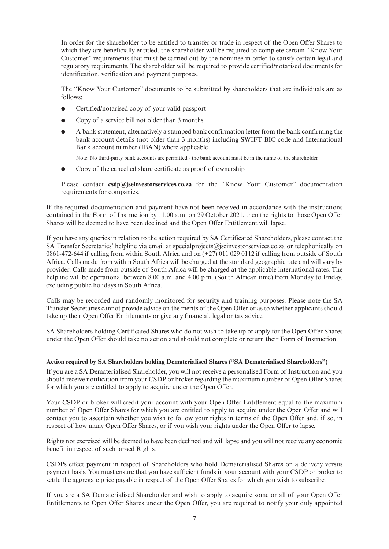In order for the shareholder to be entitled to transfer or trade in respect of the Open Offer Shares to which they are beneficially entitled, the shareholder will be required to complete certain "Know Your Customer" requirements that must be carried out by the nominee in order to satisfy certain legal and regulatory requirements. The shareholder will be required to provide certified/notarised documents for identification, verification and payment purposes.

 The "Know Your Customer" documents to be submitted by shareholders that are individuals are as follows:

- Certified/notarised copy of your valid passport
- l Copy of a service bill not older than 3 months
- l A bank statement, alternatively a stamped bank confirmation letter from the bank confirming the bank account details (not older than 3 months) including SWIFT BIC code and International Bank account number (IBAN) where applicable

Note: No third-party bank accounts are permitted - the bank account must be in the name of the shareholder

l Copy of the cancelled share certificate as proof of ownership

 Please contact **csdp@jseinvestorservices.co.za** for the "Know Your Customer" documentation requirements for companies.

If the required documentation and payment have not been received in accordance with the instructions contained in the Form of Instruction by 11.00 a.m. on 29 October 2021, then the rights to those Open Offer Shares will be deemed to have been declined and the Open Offer Entitlement will lapse.

If you have any queries in relation to the action required by SA Certificated Shareholders, please contact the SA Transfer Secretaries' helpline via email at specialprojects@jseinvestorservices.co.za or telephonically on 0861-472-644 if calling from within South Africa and on (+27) 011 029 0112 if calling from outside of South Africa. Calls made from within South Africa will be charged at the standard geographic rate and will vary by provider. Calls made from outside of South Africa will be charged at the applicable international rates. The helpline will be operational between 8.00 a.m. and 4.00 p.m. (South African time) from Monday to Friday, excluding public holidays in South Africa.

Calls may be recorded and randomly monitored for security and training purposes. Please note the SA Transfer Secretaries cannot provide advice on the merits of the Open Offer or as to whether applicants should take up their Open Offer Entitlements or give any financial, legal or tax advice.

SA Shareholders holding Certificated Shares who do not wish to take up or apply for the Open Offer Shares under the Open Offer should take no action and should not complete or return their Form of Instruction.

#### **Action required by SA Shareholders holding Dematerialised Shares ("SA Dematerialised Shareholders")**

If you are a SA Dematerialised Shareholder, you will not receive a personalised Form of Instruction and you should receive notification from your CSDP or broker regarding the maximum number of Open Offer Shares for which you are entitled to apply to acquire under the Open Offer.

Your CSDP or broker will credit your account with your Open Offer Entitlement equal to the maximum number of Open Offer Shares for which you are entitled to apply to acquire under the Open Offer and will contact you to ascertain whether you wish to follow your rights in terms of the Open Offer and, if so, in respect of how many Open Offer Shares, or if you wish your rights under the Open Offer to lapse.

Rights not exercised will be deemed to have been declined and will lapse and you will not receive any economic benefit in respect of such lapsed Rights.

CSDPs effect payment in respect of Shareholders who hold Dematerialised Shares on a delivery versus payment basis. You must ensure that you have sufficient funds in your account with your CSDP or broker to settle the aggregate price payable in respect of the Open Offer Shares for which you wish to subscribe.

If you are a SA Dematerialised Shareholder and wish to apply to acquire some or all of your Open Offer Entitlements to Open Offer Shares under the Open Offer, you are required to notify your duly appointed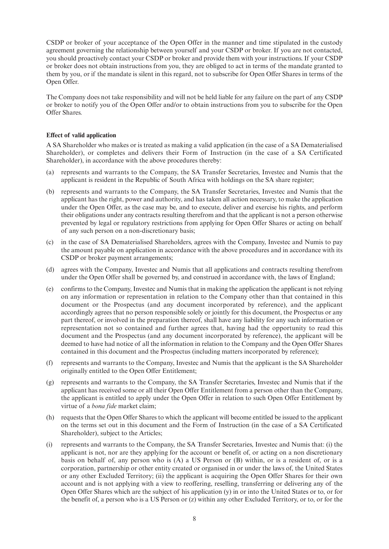CSDP or broker of your acceptance of the Open Offer in the manner and time stipulated in the custody agreement governing the relationship between yourself and your CSDP or broker. If you are not contacted, you should proactively contact your CSDP or broker and provide them with your instructions. If your CSDP or broker does not obtain instructions from you, they are obliged to act in terms of the mandate granted to them by you, or if the mandate is silent in this regard, not to subscribe for Open Offer Shares in terms of the Open Offer.

The Company does not take responsibility and will not be held liable for any failure on the part of any CSDP or broker to notify you of the Open Offer and/or to obtain instructions from you to subscribe for the Open Offer Shares.

#### **Effect of valid application**

A SA Shareholder who makes or is treated as making a valid application (in the case of a SA Dematerialised Shareholder), or completes and delivers their Form of Instruction (in the case of a SA Certificated Shareholder), in accordance with the above procedures thereby:

- (a) represents and warrants to the Company, the SA Transfer Secretaries, Investec and Numis that the applicant is resident in the Republic of South Africa with holdings on the SA share register;
- (b) represents and warrants to the Company, the SA Transfer Secretaries, Investec and Numis that the applicant has the right, power and authority, and has taken all action necessary, to make the application under the Open Offer, as the case may be, and to execute, deliver and exercise his rights, and perform their obligations under any contracts resulting therefrom and that the applicant is not a person otherwise prevented by legal or regulatory restrictions from applying for Open Offer Shares or acting on behalf of any such person on a non-discretionary basis;
- (c) in the case of SA Dematerialised Shareholders, agrees with the Company, Investec and Numis to pay the amount payable on application in accordance with the above procedures and in accordance with its CSDP or broker payment arrangements;
- (d) agrees with the Company, Investec and Numis that all applications and contracts resulting therefrom under the Open Offer shall be governed by, and construed in accordance with, the laws of England;
- (e) confirms to the Company, Investec and Numis that in making the application the applicant is not relying on any information or representation in relation to the Company other than that contained in this document or the Prospectus (and any document incorporated by reference), and the applicant accordingly agrees that no person responsible solely or jointly for this document, the Prospectus or any part thereof, or involved in the preparation thereof, shall have any liability for any such information or representation not so contained and further agrees that, having had the opportunity to read this document and the Prospectus (and any document incorporated by reference), the applicant will be deemed to have had notice of all the information in relation to the Company and the Open Offer Shares contained in this document and the Prospectus (including matters incorporated by reference);
- (f) represents and warrants to the Company, Investec and Numis that the applicant is the SA Shareholder originally entitled to the Open Offer Entitlement;
- (g) represents and warrants to the Company, the SA Transfer Secretaries, Investec and Numis that if the applicant has received some or all their Open Offer Entitlement from a person other than the Company, the applicant is entitled to apply under the Open Offer in relation to such Open Offer Entitlement by virtue of a *bona fide* market claim;
- (h) requests that the Open Offer Shares to which the applicant will become entitled be issued to the applicant on the terms set out in this document and the Form of Instruction (in the case of a SA Certificated Shareholder), subject to the Articles;
- (i) represents and warrants to the Company, the SA Transfer Secretaries, Investec and Numis that: (i) the applicant is not, nor are they applying for the account or benefit of, or acting on a non discretionary basis on behalf of, any person who is (A) a US Person or (B) within, or is a resident of, or is a corporation, partnership or other entity created or organised in or under the laws of, the United States or any other Excluded Territory; (ii) the applicant is acquiring the Open Offer Shares for their own account and is not applying with a view to reoffering, reselling, transferring or delivering any of the Open Offer Shares which are the subject of his application (y) in or into the United States or to, or for the benefit of, a person who is a US Person or (z) within any other Excluded Territory, or to, or for the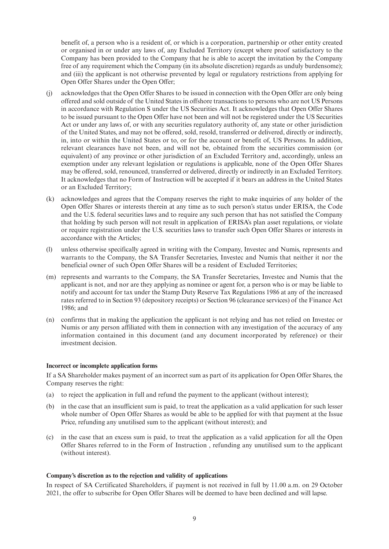benefit of, a person who is a resident of, or which is a corporation, partnership or other entity created or organised in or under any laws of, any Excluded Territory (except where proof satisfactory to the Company has been provided to the Company that he is able to accept the invitation by the Company free of any requirement which the Company (in its absolute discretion) regards as unduly burdensome); and (iii) the applicant is not otherwise prevented by legal or regulatory restrictions from applying for Open Offer Shares under the Open Offer;

- (j) acknowledges that the Open Offer Shares to be issued in connection with the Open Offer are only being offered and sold outside of the United States in offshore transactions to persons who are not US Persons in accordance with Regulation S under the US Securities Act. It acknowledges that Open Offer Shares to be issued pursuant to the Open Offer have not been and will not be registered under the US Securities Act or under any laws of, or with any securities regulatory authority of, any state or other jurisdiction of the United States, and may not be offered, sold, resold, transferred or delivered, directly or indirectly, in, into or within the United States or to, or for the account or benefit of, US Persons. In addition, relevant clearances have not been, and will not be, obtained from the securities commission (or equivalent) of any province or other jurisdiction of an Excluded Territory and, accordingly, unless an exemption under any relevant legislation or regulations is applicable, none of the Open Offer Shares may be offered, sold, renounced, transferred or delivered, directly or indirectly in an Excluded Territory. It acknowledges that no Form of Instruction will be accepted if it bears an address in the United States or an Excluded Territory;
- (k) acknowledges and agrees that the Company reserves the right to make inquiries of any holder of the Open Offer Shares or interests therein at any time as to such person's status under ERISA, the Code and the U.S. federal securities laws and to require any such person that has not satisfied the Company that holding by such person will not result in application of ERISA's plan asset regulations, or violate or require registration under the U.S. securities laws to transfer such Open Offer Shares or interests in accordance with the Articles;
- (l) unless otherwise specifically agreed in writing with the Company, Investec and Numis, represents and warrants to the Company, the SA Transfer Secretaries, Investec and Numis that neither it nor the beneficial owner of such Open Offer Shares will be a resident of Excluded Territories;
- (m) represents and warrants to the Company, the SA Transfer Secretaries, Investec and Numis that the applicant is not, and nor are they applying as nominee or agent for, a person who is or may be liable to notify and account for tax under the Stamp Duty Reserve Tax Regulations 1986 at any of the increased rates referred to in Section 93 (depository receipts) or Section 96 (clearance services) of the Finance Act 1986; and
- (n) confirms that in making the application the applicant is not relying and has not relied on Investec or Numis or any person affiliated with them in connection with any investigation of the accuracy of any information contained in this document (and any document incorporated by reference) or their investment decision.

#### **Incorrect or incomplete application forms**

If a SA Shareholder makes payment of an incorrect sum as part of its application for Open Offer Shares, the Company reserves the right:

- (a) to reject the application in full and refund the payment to the applicant (without interest);
- (b) in the case that an insufficient sum is paid, to treat the application as a valid application for such lesser whole number of Open Offer Shares as would be able to be applied for with that payment at the Issue Price, refunding any unutilised sum to the applicant (without interest); and
- (c) in the case that an excess sum is paid, to treat the application as a valid application for all the Open Offer Shares referred to in the Form of Instruction , refunding any unutilised sum to the applicant (without interest).

#### **Company's discretion as to the rejection and validity of applications**

In respect of SA Certificated Shareholders, if payment is not received in full by 11.00 a.m. on 29 October 2021, the offer to subscribe for Open Offer Shares will be deemed to have been declined and will lapse.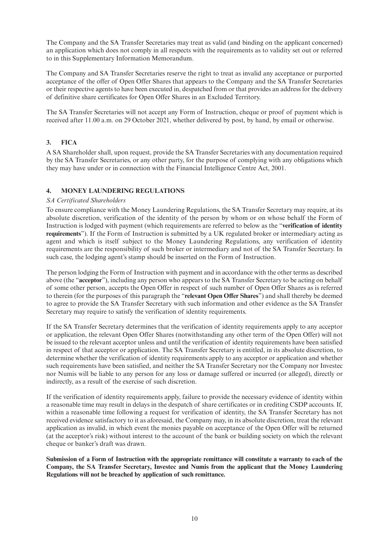The Company and the SA Transfer Secretaries may treat as valid (and binding on the applicant concerned) an application which does not comply in all respects with the requirements as to validity set out or referred to in this Supplementary Information Memorandum.

The Company and SA Transfer Secretaries reserve the right to treat as invalid any acceptance or purported acceptance of the offer of Open Offer Shares that appears to the Company and the SA Transfer Secretaries or their respective agents to have been executed in, despatched from or that provides an address for the delivery of definitive share certificates for Open Offer Shares in an Excluded Territory.

The SA Transfer Secretaries will not accept any Form of Instruction, cheque or proof of payment which is received after 11.00 a.m. on 29 October 2021, whether delivered by post, by hand, by email or otherwise.

# **3. FICA**

A SA Shareholder shall, upon request, provide the SA Transfer Secretaries with any documentation required by the SA Transfer Secretaries, or any other party, for the purpose of complying with any obligations which they may have under or in connection with the Financial Intelligence Centre Act, 2001.

# **4. MONEY LAUNDERING REGULATIONS**

### *SA Certificated Shareholders*

To ensure compliance with the Money Laundering Regulations, the SA Transfer Secretary may require, at its absolute discretion, verification of the identity of the person by whom or on whose behalf the Form of Instruction is lodged with payment (which requirements are referred to below as the "**verification of identity requirements**"). If the Form of Instruction is submitted by a UK regulated broker or intermediary acting as agent and which is itself subject to the Money Laundering Regulations, any verification of identity requirements are the responsibility of such broker or intermediary and not of the SA Transfer Secretary. In such case, the lodging agent's stamp should be inserted on the Form of Instruction.

The person lodging the Form of Instruction with payment and in accordance with the other terms as described above (the "**acceptor**"), including any person who appears to the SA Transfer Secretary to be acting on behalf of some other person, accepts the Open Offer in respect of such number of Open Offer Shares as is referred to therein (for the purposes of this paragraph the "**relevant Open Offer Shares**") and shall thereby be deemed to agree to provide the SA Transfer Secretary with such information and other evidence as the SA Transfer Secretary may require to satisfy the verification of identity requirements.

If the SA Transfer Secretary determines that the verification of identity requirements apply to any acceptor or application, the relevant Open Offer Shares (notwithstanding any other term of the Open Offer) will not be issued to the relevant acceptor unless and until the verification of identity requirements have been satisfied in respect of that acceptor or application. The SA Transfer Secretary is entitled, in its absolute discretion, to determine whether the verification of identity requirements apply to any acceptor or application and whether such requirements have been satisfied, and neither the SA Transfer Secretary nor the Company nor Investec nor Numis will be liable to any person for any loss or damage suffered or incurred (or alleged), directly or indirectly, as a result of the exercise of such discretion.

If the verification of identity requirements apply, failure to provide the necessary evidence of identity within a reasonable time may result in delays in the despatch of share certificates or in crediting CSDP accounts. If, within a reasonable time following a request for verification of identity, the SA Transfer Secretary has not received evidence satisfactory to it as aforesaid, the Company may, in its absolute discretion, treat the relevant application as invalid, in which event the monies payable on acceptance of the Open Offer will be returned (at the acceptor's risk) without interest to the account of the bank or building society on which the relevant cheque or banker's draft was drawn.

**Submission of a Form of Instruction with the appropriate remittance will constitute a warranty to each of the Company, the SA Transfer Secretary, Investec and Numis from the applicant that the Money Laundering Regulations will not be breached by application of such remittance.**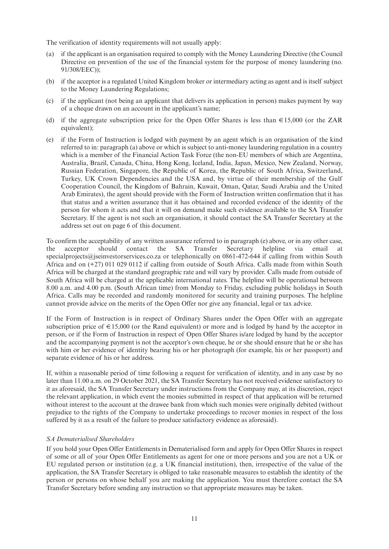The verification of identity requirements will not usually apply:

- (a) if the applicant is an organisation required to comply with the Money Laundering Directive (the Council Directive on prevention of the use of the financial system for the purpose of money laundering (no. 91/308/EEC));
- (b) if the acceptor is a regulated United Kingdom broker or intermediary acting as agent and is itself subject to the Money Laundering Regulations;
- (c) if the applicant (not being an applicant that delivers its application in person) makes payment by way of a cheque drawn on an account in the applicant's name;
- (d) if the aggregate subscription price for the Open Offer Shares is less than  $\epsilon$ 15,000 (or the ZAR equivalent);
- (e) if the Form of Instruction is lodged with payment by an agent which is an organisation of the kind referred to in: paragraph (a) above or which is subject to anti-money laundering regulation in a country which is a member of the Financial Action Task Force (the non-EU members of which are Argentina, Australia, Brazil, Canada, China, Hong Kong, Iceland, India, Japan, Mexico, New Zealand, Norway, Russian Federation, Singapore, the Republic of Korea, the Republic of South Africa, Switzerland, Turkey, UK Crown Dependencies and the USA and, by virtue of their membership of the Gulf Cooperation Council, the Kingdom of Bahrain, Kuwait, Oman, Qatar, Saudi Arabia and the United Arab Emirates), the agent should provide with the Form of Instruction written confirmation that it has that status and a written assurance that it has obtained and recorded evidence of the identity of the person for whom it acts and that it will on demand make such evidence available to the SA Transfer Secretary. If the agent is not such an organisation, it should contact the SA Transfer Secretary at the address set out on page 6 of this document.

To confirm the acceptability of any written assurance referred to in paragraph (e) above, or in any other case, the acceptor should contact the SA Transfer Secretary helpline via email at specialprojects@jseinvestorservices.co.za or telephonically on 0861-472-644 if calling from within South Africa and on (+27) 011 029 0112 if calling from outside of South Africa. Calls made from within South Africa will be charged at the standard geographic rate and will vary by provider. Calls made from outside of South Africa will be charged at the applicable international rates. The helpline will be operational between 8.00 a.m. and 4.00 p.m. (South African time) from Monday to Friday, excluding public holidays in South Africa. Calls may be recorded and randomly monitored for security and training purposes. The helpline cannot provide advice on the merits of the Open Offer nor give any financial, legal or tax advice.

If the Form of Instruction is in respect of Ordinary Shares under the Open Offer with an aggregate subscription price of  $\in$  15,000 (or the Rand equivalent) or more and is lodged by hand by the acceptor in person, or if the Form of Instruction in respect of Open Offer Shares is/are lodged by hand by the acceptor and the accompanying payment is not the acceptor's own cheque, he or she should ensure that he or she has with him or her evidence of identity bearing his or her photograph (for example, his or her passport) and separate evidence of his or her address.

If, within a reasonable period of time following a request for verification of identity, and in any case by no later than 11.00 a.m. on 29 October 2021, the SA Transfer Secretary has not received evidence satisfactory to it as aforesaid, the SA Transfer Secretary under instructions from the Company may, at its discretion, reject the relevant application, in which event the monies submitted in respect of that application will be returned without interest to the account at the drawee bank from which such monies were originally debited (without prejudice to the rights of the Company to undertake proceedings to recover monies in respect of the loss suffered by it as a result of the failure to produce satisfactory evidence as aforesaid).

#### *SA Dematerialised Shareholders*

If you hold your Open Offer Entitlements in Dematerialised form and apply for Open Offer Shares in respect of some or all of your Open Offer Entitlements as agent for one or more persons and you are not a UK or EU regulated person or institution (e.g. a UK financial institution), then, irrespective of the value of the application, the SA Transfer Secretary is obliged to take reasonable measures to establish the identity of the person or persons on whose behalf you are making the application. You must therefore contact the SA Transfer Secretary before sending any instruction so that appropriate measures may be taken.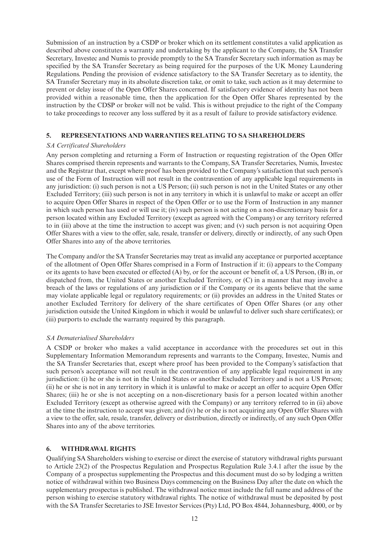Submission of an instruction by a CSDP or broker which on its settlement constitutes a valid application as described above constitutes a warranty and undertaking by the applicant to the Company, the SA Transfer Secretary, Investec and Numis to provide promptly to the SA Transfer Secretary such information as may be specified by the SA Transfer Secretary as being required for the purposes of the UK Money Laundering Regulations. Pending the provision of evidence satisfactory to the SA Transfer Secretary as to identity, the SA Transfer Secretary may in its absolute discretion take, or omit to take, such action as it may determine to prevent or delay issue of the Open Offer Shares concerned. If satisfactory evidence of identity has not been provided within a reasonable time, then the application for the Open Offer Shares represented by the instruction by the CDSP or broker will not be valid. This is without prejudice to the right of the Company to take proceedings to recover any loss suffered by it as a result of failure to provide satisfactory evidence.

### **5. REPRESENTATIONS AND WARRANTIES RELATING TO SA SHAREHOLDERS**

### *SA Certificated Shareholders*

Any person completing and returning a Form of Instruction or requesting registration of the Open Offer Shares comprised therein represents and warrants to the Company, SA Transfer Secretaries, Numis, Investec and the Registrar that, except where proof has been provided to the Company's satisfaction that such person's use of the Form of Instruction will not result in the contravention of any applicable legal requirements in any jurisdiction: (i) such person is not a US Person; (ii) such person is not in the United States or any other Excluded Territory; (iii) such person is not in any territory in which it is unlawful to make or accept an offer to acquire Open Offer Shares in respect of the Open Offer or to use the Form of Instruction in any manner in which such person has used or will use it; (iv) such person is not acting on a non-discretionary basis for a person located within any Excluded Territory (except as agreed with the Company) or any territory referred to in (iii) above at the time the instruction to accept was given; and (v) such person is not acquiring Open Offer Shares with a view to the offer, sale, resale, transfer or delivery, directly or indirectly, of any such Open Offer Shares into any of the above territories.

The Company and/or the SA Transfer Secretaries may treat as invalid any acceptance or purported acceptance of the allotment of Open Offer Shares comprised in a Form of Instruction if it: (i) appears to the Company or its agents to have been executed or effected (A) by, or for the account or benefit of, a US Person, (B) in, or dispatched from, the United States or another Excluded Territory, or (C) in a manner that may involve a breach of the laws or regulations of any jurisdiction or if the Company or its agents believe that the same may violate applicable legal or regulatory requirements; or (ii) provides an address in the United States or another Excluded Territory for delivery of the share certificates of Open Offer Shares (or any other jurisdiction outside the United Kingdom in which it would be unlawful to deliver such share certificates); or (iii) purports to exclude the warranty required by this paragraph.

#### *SA Dematerialised Shareholders*

A CSDP or broker who makes a valid acceptance in accordance with the procedures set out in this Supplementary Information Memorandum represents and warrants to the Company, Investec, Numis and the SA Transfer Secretaries that, except where proof has been provided to the Company's satisfaction that such person's acceptance will not result in the contravention of any applicable legal requirement in any jurisdiction: (i) he or she is not in the United States or another Excluded Territory and is not a US Person; (ii) he or she is not in any territory in which it is unlawful to make or accept an offer to acquire Open Offer Shares; (iii) he or she is not accepting on a non-discretionary basis for a person located within another Excluded Territory (except as otherwise agreed with the Company) or any territory referred to in (ii) above at the time the instruction to accept was given; and (iv) he or she is not acquiring any Open Offer Shares with a view to the offer, sale, resale, transfer, delivery or distribution, directly or indirectly, of any such Open Offer Shares into any of the above territories.

#### **6. WITHDRAWAL RIGHTS**

Qualifying SA Shareholders wishing to exercise or direct the exercise of statutory withdrawal rights pursuant to Article 23(2) of the Prospectus Regulation and Prospectus Regulation Rule 3.4.1 after the issue by the Company of a prospectus supplementing the Prospectus and this document must do so by lodging a written notice of withdrawal within two Business Days commencing on the Business Day after the date on which the supplementary prospectus is published. The withdrawal notice must include the full name and address of the person wishing to exercise statutory withdrawal rights. The notice of withdrawal must be deposited by post with the SA Transfer Secretaries to JSE Investor Services (Pty) Ltd, PO Box 4844, Johannesburg, 4000, or by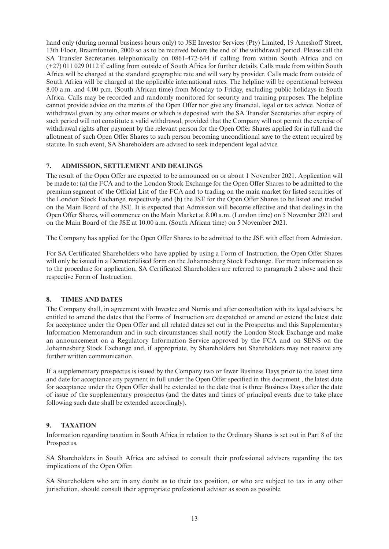hand only (during normal business hours only) to JSE Investor Services (Pty) Limited, 19 Ameshoff Street, 13th Floor, Braamfontein, 2000 so as to be received before the end of the withdrawal period. Please call the SA Transfer Secretaries telephonically on 0861-472-644 if calling from within South Africa and on (+27) 011 029 0112 if calling from outside of South Africa for further details. Calls made from within South Africa will be charged at the standard geographic rate and will vary by provider. Calls made from outside of South Africa will be charged at the applicable international rates. The helpline will be operational between 8.00 a.m. and 4.00 p.m. (South African time) from Monday to Friday, excluding public holidays in South Africa. Calls may be recorded and randomly monitored for security and training purposes. The helpline cannot provide advice on the merits of the Open Offer nor give any financial, legal or tax advice. Notice of withdrawal given by any other means or which is deposited with the SA Transfer Secretaries after expiry of such period will not constitute a valid withdrawal, provided that the Company will not permit the exercise of withdrawal rights after payment by the relevant person for the Open Offer Shares applied for in full and the allotment of such Open Offer Shares to such person becoming unconditional save to the extent required by statute. In such event, SA Shareholders are advised to seek independent legal advice.

# **7. ADMISSION, SETTLEMENT AND DEALINGS**

The result of the Open Offer are expected to be announced on or about 1 November 2021. Application will be made to: (a) the FCA and to the London Stock Exchange for the Open Offer Shares to be admitted to the premium segment of the Official List of the FCA and to trading on the main market for listed securities of the London Stock Exchange, respectively and (b) the JSE for the Open Offer Shares to be listed and traded on the Main Board of the JSE. It is expected that Admission will become effective and that dealings in the Open Offer Shares, will commence on the Main Market at 8.00 a.m. (London time) on 5 November 2021 and on the Main Board of the JSE at 10.00 a.m. (South African time) on 5 November 2021.

The Company has applied for the Open Offer Shares to be admitted to the JSE with effect from Admission.

For SA Certificated Shareholders who have applied by using a Form of Instruction, the Open Offer Shares will only be issued in a Dematerialised form on the Johannesburg Stock Exchange. For more information as to the procedure for application, SA Certificated Shareholders are referred to paragraph 2 above and their respective Form of Instruction.

# **8. TIMES AND DATES**

The Company shall, in agreement with Investec and Numis and after consultation with its legal advisers, be entitled to amend the dates that the Forms of Instruction are despatched or amend or extend the latest date for acceptance under the Open Offer and all related dates set out in the Prospectus and this Supplementary Information Memorandum and in such circumstances shall notify the London Stock Exchange and make an announcement on a Regulatory Information Service approved by the FCA and on SENS on the Johannesburg Stock Exchange and, if appropriate, by Shareholders but Shareholders may not receive any further written communication.

If a supplementary prospectus is issued by the Company two or fewer Business Days prior to the latest time and date for acceptance any payment in full under the Open Offer specified in this document , the latest date for acceptance under the Open Offer shall be extended to the date that is three Business Days after the date of issue of the supplementary prospectus (and the dates and times of principal events due to take place following such date shall be extended accordingly).

# **9. TAXATION**

Information regarding taxation in South Africa in relation to the Ordinary Shares is set out in Part 8 of the Prospectus.

SA Shareholders in South Africa are advised to consult their professional advisers regarding the tax implications of the Open Offer.

SA Shareholders who are in any doubt as to their tax position, or who are subject to tax in any other jurisdiction, should consult their appropriate professional adviser as soon as possible.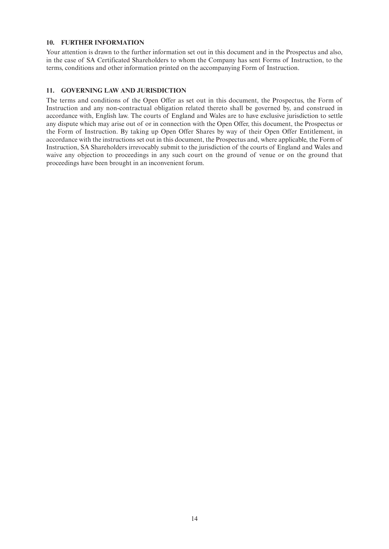### **10. FURTHER INFORMATION**

Your attention is drawn to the further information set out in this document and in the Prospectus and also, in the case of SA Certificated Shareholders to whom the Company has sent Forms of Instruction, to the terms, conditions and other information printed on the accompanying Form of Instruction.

# **11. GOVERNING LAW AND JURISDICTION**

The terms and conditions of the Open Offer as set out in this document, the Prospectus, the Form of Instruction and any non-contractual obligation related thereto shall be governed by, and construed in accordance with, English law. The courts of England and Wales are to have exclusive jurisdiction to settle any dispute which may arise out of or in connection with the Open Offer, this document, the Prospectus or the Form of Instruction. By taking up Open Offer Shares by way of their Open Offer Entitlement, in accordance with the instructions set out in this document, the Prospectus and, where applicable, the Form of Instruction, SA Shareholders irrevocably submit to the jurisdiction of the courts of England and Wales and waive any objection to proceedings in any such court on the ground of venue or on the ground that proceedings have been brought in an inconvenient forum.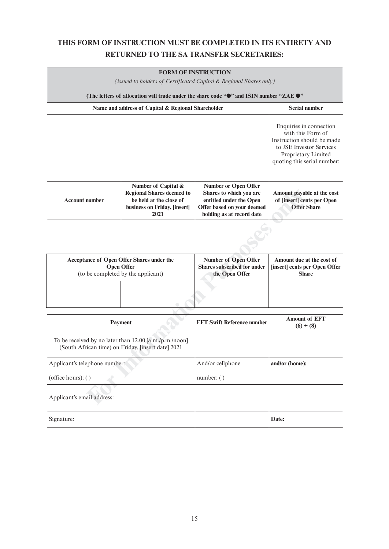# **THIS FORM OF INSTRUCTION MUST BE COMPLETED IN ITS ENTIRETY AND RETURNED TO THE SA TRANSFER SECRETARIES:**

| <b>FORM OF INSTRUCTION</b>                                                                                |
|-----------------------------------------------------------------------------------------------------------|
| (issued to holders of Certificated Capital $\&$ Regional Shares only)                                     |
| (The letters of allocation will trade under the share code " $\bullet$ " and ISIN number "ZAE $\bullet$ " |

| Name and address of Capital & Regional Shareholder | <b>Serial number</b>                                                                                                                                         |
|----------------------------------------------------|--------------------------------------------------------------------------------------------------------------------------------------------------------------|
|                                                    | Enquiries in connection<br>with this Form of<br>Instruction should be made<br>to JSE Investor Services<br>Proprietary Limited<br>quoting this serial number: |
|                                                    |                                                                                                                                                              |

| <b>Account number</b> | Number of Capital &<br><b>Regional Shares deemed to</b><br>be held at the close of<br>business on Friday, [insert]<br>2021 | <b>Number or Open Offer</b><br>Shares to which you are<br>entitled under the Open<br>Offer based on your deemed<br>holding as at record date | Amount payable at the cost<br>of [insert] cents per Open<br><b>Offer Share</b> |
|-----------------------|----------------------------------------------------------------------------------------------------------------------------|----------------------------------------------------------------------------------------------------------------------------------------------|--------------------------------------------------------------------------------|
|                       |                                                                                                                            |                                                                                                                                              |                                                                                |
|                       |                                                                                                                            |                                                                                                                                              |                                                                                |

| Acceptance of Open Offer Shares under the | <b>Number of Open Offer</b> | Amount due at the cost of     |
|-------------------------------------------|-----------------------------|-------------------------------|
| <b>Open Offer</b>                         | Shares subscribed for under | [insert] cents per Open Offer |
| (to be completed by the applicant)        | the Open Offer              | <b>Share</b>                  |
|                                           |                             |                               |

| Payment                                                                                                      | <b>EFT Swift Reference number</b> | <b>Amount of EFT</b><br>$(6) + (8)$ |
|--------------------------------------------------------------------------------------------------------------|-----------------------------------|-------------------------------------|
| To be received by no later than 12.00 [a.m./p.m./noon]<br>(South African time) on Friday, [insert date] 2021 |                                   |                                     |
| Applicant's telephone number:                                                                                | And/or cellphone                  | and/or (home):                      |
| (office hours): $()$                                                                                         | number: ( )                       |                                     |
| Applicant's email address:                                                                                   |                                   |                                     |
| Signature:                                                                                                   |                                   | Date:                               |